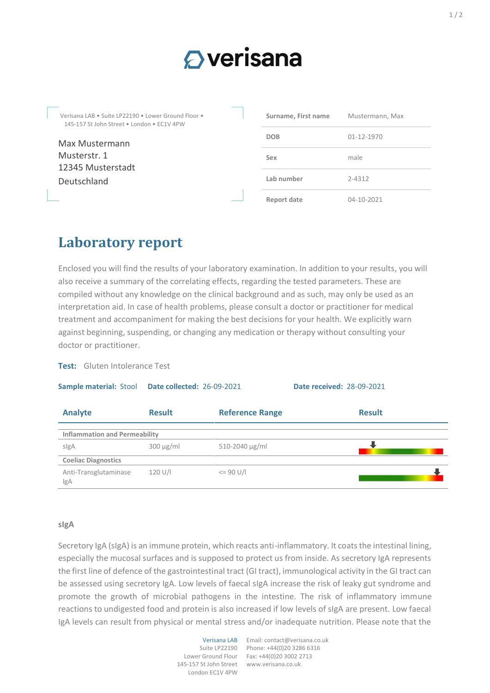## $\bigcirc$  verisana

Verisana LAB • Suite LP22190 • Lower Ground Floor • 145-157 St John Street • London • EC1V 4PW

Max Mustermann Musterstr. 1 12345 Musterstadt Deutschland

| Surname, First name | Mustermann, Max  |
|---------------------|------------------|
| <b>DOB</b>          | $01 - 12 - 1970$ |
| Sex                 | male             |
| Lab number          | $7 - 4312$       |
| <b>Report date</b>  | $04 - 10 - 2021$ |

## **Laboratory report**

Enclosed you will find the results of your laboratory examination. In addition to your results, you will also receive a summary of the correlating effects, regarding the tested parameters. These are compiled without any knowledge on the clinical background and as such, may only be used as an interpretation aid. In case of health problems, please consult a doctor or practitioner for medical treatment and accompaniment for making the best decisions for your health. We explicitly warn against beginning, suspending, or changing any medication or therapy without consulting your doctor or practitioner.

**Test:** Gluten Intolerance Test

**Sample material:** Stool **Date collected:** 26-09-2021 **Date received:** 28-09-2021 **Analyte Result Reference Range Result Inflammation and Permeability** sIgA 300 µg/ml 510-2040 µg/ml **Coeliac Diagnostics** Anti-Transglutaminase IgA  $120 \text{ U/l}$   $\leq 90 \text{ U/l}$ 

## **sIgA**

Secretory IgA (sIgA) is an immune protein, which reacts anti-inflammatory. It coats the intestinal lining, especially the mucosal surfaces and is supposed to protect us from inside. As secretory IgA represents the first line of defence of the gastrointestinal tract (GI tract), immunological activity in the GI tract can be assessed using secretory IgA. Low levels of faecal sIgA increase the risk of leaky gut syndrome and promote the growth of microbial pathogens in the intestine. The risk of inflammatory immune reactions to undigested food and protein is also increased if low levels of sIgA are present. Low faecal IgA levels can result from physical or mental stress and/or inadequate nutrition. Please note that the

> Lower Ground Flour 145-157 St John Street London EC1V 4PW

Verisana LAB Email: contact@verisana.co.uk Suite LP22190 Phone: +44(0)20 3286 6316 Fax: +44(0)20 3002 2713 www.verisana.co.uk